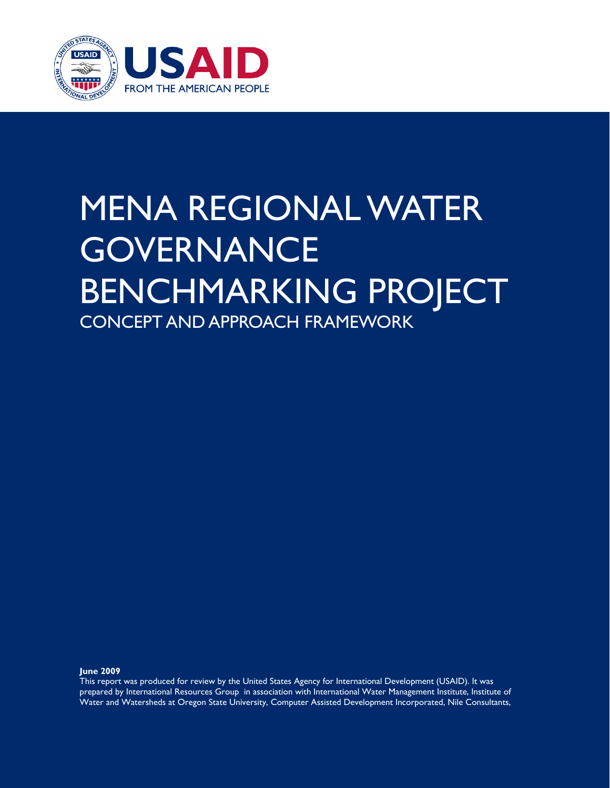

### MENA REGIONAL WATER **GOVERNANCE** BENCHMARKING PROJECT CONCEPT AND APPROACH FRAMEWORK

**June 2009** 

This report was produced for review by the United States Agency for International Development (USAID). It was prepared by International Resources Group in association with International Water Management Institute, Institute of Water and Watersheds at Oregon State University, Computer Assisted Development Incorporated, Nile Consultants,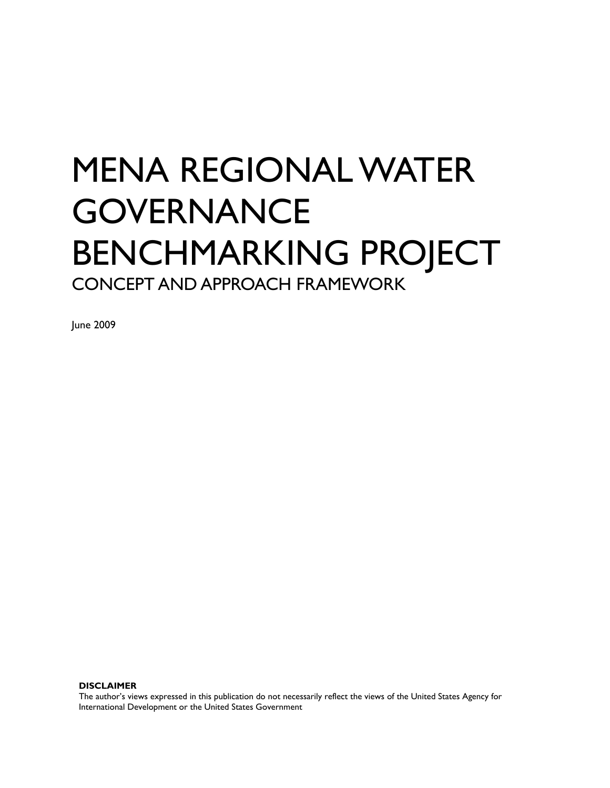## MENA REGIONAL WATER **GOVERNANCE** BENCHMARKING PROJECT CONCEPT AND APPROACH FRAMEWORK

June 2009

**DISCLAIMER** 

The author's views expressed in this publication do not necessarily reflect the views of the United States Agency for International Development or the United States Government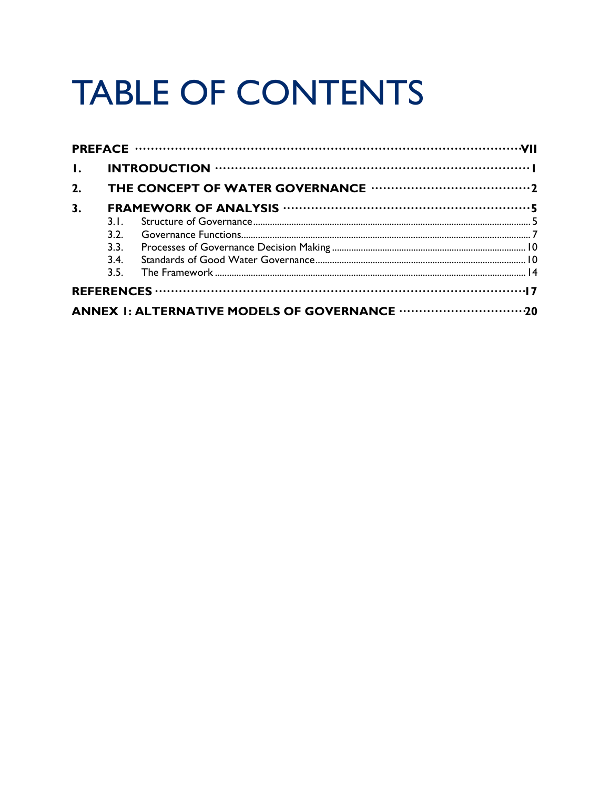# **TABLE OF CONTENTS**

| $\mathbf{L}$ |      |  |  |
|--------------|------|--|--|
| 2.           |      |  |  |
| 3.           |      |  |  |
|              | 3.1. |  |  |
|              | 3.2. |  |  |
|              |      |  |  |
|              | 3.4  |  |  |
|              |      |  |  |
|              |      |  |  |
|              |      |  |  |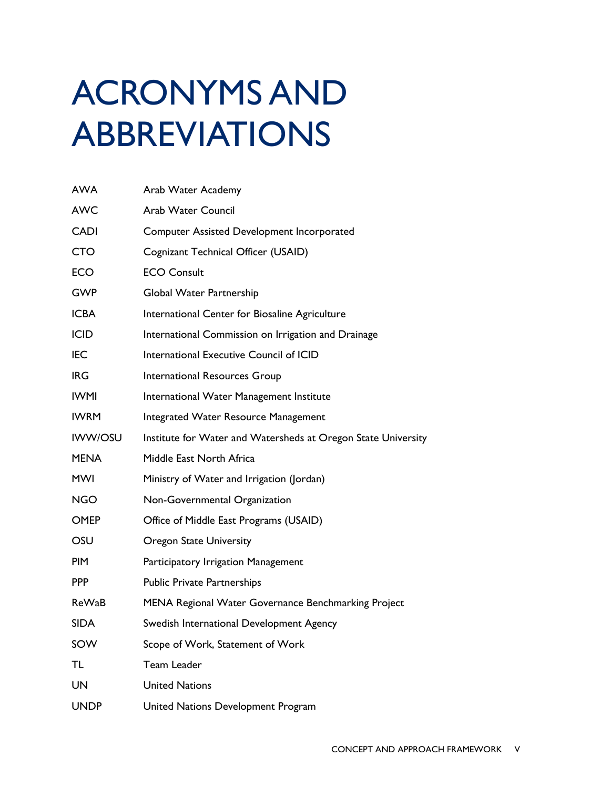# ACRONYMS AND ABBREVIATIONS

| <b>AWA</b>     | Arab Water Academy                                            |
|----------------|---------------------------------------------------------------|
| <b>AWC</b>     | <b>Arab Water Council</b>                                     |
| <b>CADI</b>    | <b>Computer Assisted Development Incorporated</b>             |
| <b>CTO</b>     | Cognizant Technical Officer (USAID)                           |
| <b>ECO</b>     | <b>ECO Consult</b>                                            |
| <b>GWP</b>     | Global Water Partnership                                      |
| <b>ICBA</b>    | International Center for Biosaline Agriculture                |
| <b>ICID</b>    | International Commission on Irrigation and Drainage           |
| <b>IEC</b>     | International Executive Council of ICID                       |
| <b>IRG</b>     | International Resources Group                                 |
| <b>IWMI</b>    | International Water Management Institute                      |
| <b>IWRM</b>    | Integrated Water Resource Management                          |
| <b>IWW/OSU</b> | Institute for Water and Watersheds at Oregon State University |
|                |                                                               |
| <b>MENA</b>    | Middle East North Africa                                      |
| <b>MWI</b>     | Ministry of Water and Irrigation (Jordan)                     |
| <b>NGO</b>     | Non-Governmental Organization                                 |
| <b>OMEP</b>    | Office of Middle East Programs (USAID)                        |
| OSU            | <b>Oregon State University</b>                                |
| <b>PIM</b>     | Participatory Irrigation Management                           |
| <b>PPP</b>     | <b>Public Private Partnerships</b>                            |
| ReWaB          | MENA Regional Water Governance Benchmarking Project           |
| SIDA           | Swedish International Development Agency                      |
| SOW            | Scope of Work, Statement of Work                              |
| TL             | Team Leader                                                   |
| <b>UN</b>      | <b>United Nations</b>                                         |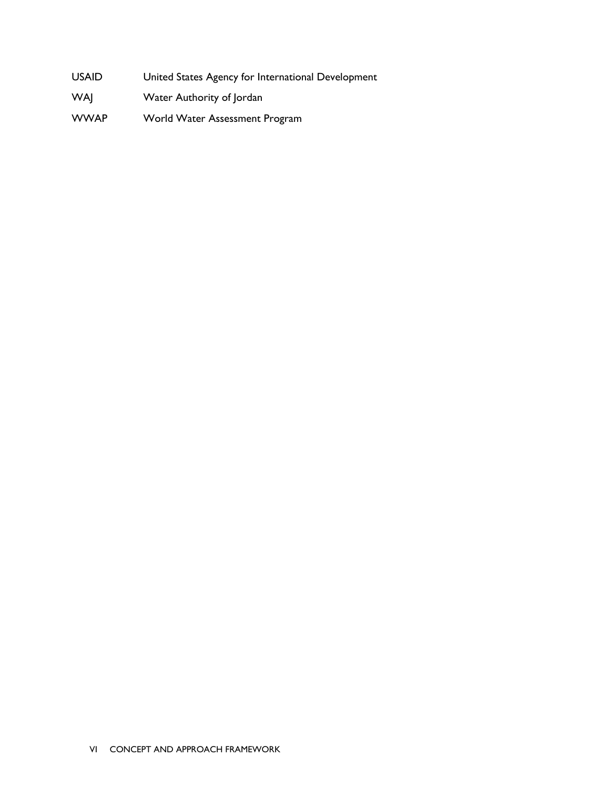- USAID United States Agency for International Development
- WAJ Water Authority of Jordan
- WWAP World Water Assessment Program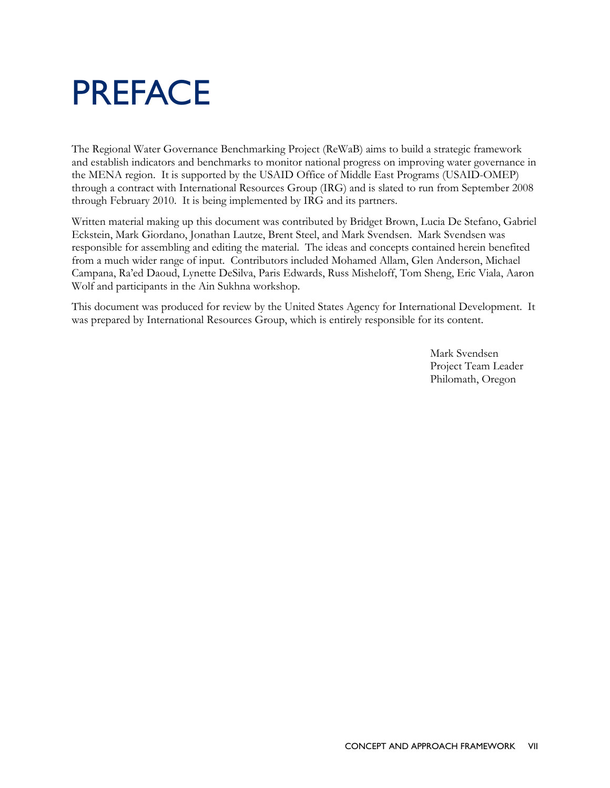## PREFACE

The Regional Water Governance Benchmarking Project (ReWaB) aims to build a strategic framework and establish indicators and benchmarks to monitor national progress on improving water governance in the MENA region. It is supported by the USAID Office of Middle East Programs (USAID-OMEP) through a contract with International Resources Group (IRG) and is slated to run from September 2008 through February 2010. It is being implemented by IRG and its partners.

Written material making up this document was contributed by Bridget Brown, Lucia De Stefano, Gabriel Eckstein, Mark Giordano, Jonathan Lautze, Brent Steel, and Mark Svendsen. Mark Svendsen was responsible for assembling and editing the material. The ideas and concepts contained herein benefited from a much wider range of input. Contributors included Mohamed Allam, Glen Anderson, Michael Campana, Ra'ed Daoud, Lynette DeSilva, Paris Edwards, Russ Misheloff, Tom Sheng, Eric Viala, Aaron Wolf and participants in the Ain Sukhna workshop.

This document was produced for review by the United States Agency for International Development. It was prepared by International Resources Group, which is entirely responsible for its content.

> Mark Svendsen Project Team Leader Philomath, Oregon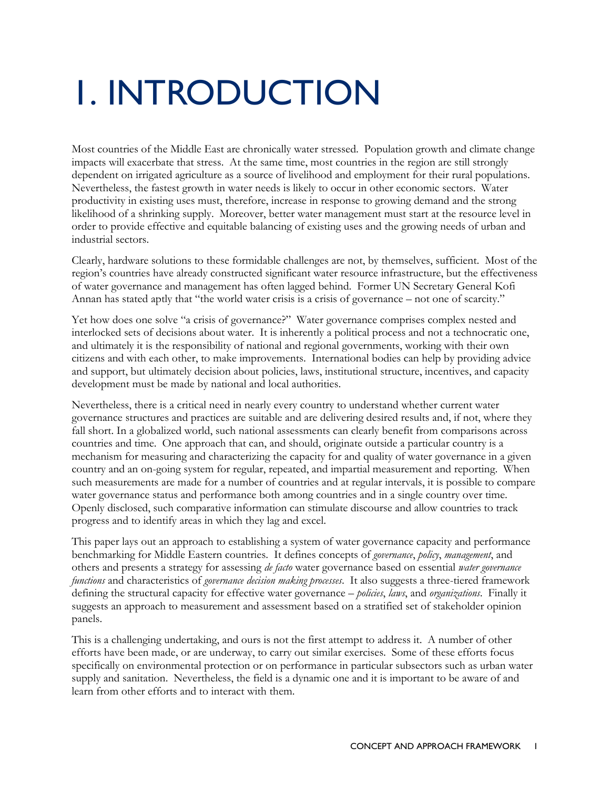# 1. INTRODUCTION

Most countries of the Middle East are chronically water stressed. Population growth and climate change impacts will exacerbate that stress. At the same time, most countries in the region are still strongly dependent on irrigated agriculture as a source of livelihood and employment for their rural populations. Nevertheless, the fastest growth in water needs is likely to occur in other economic sectors. Water productivity in existing uses must, therefore, increase in response to growing demand and the strong likelihood of a shrinking supply. Moreover, better water management must start at the resource level in order to provide effective and equitable balancing of existing uses and the growing needs of urban and industrial sectors.

Clearly, hardware solutions to these formidable challenges are not, by themselves, sufficient. Most of the region's countries have already constructed significant water resource infrastructure, but the effectiveness of water governance and management has often lagged behind. Former UN Secretary General Kofi Annan has stated aptly that "the world water crisis is a crisis of governance – not one of scarcity."

Yet how does one solve "a crisis of governance?" Water governance comprises complex nested and interlocked sets of decisions about water. It is inherently a political process and not a technocratic one, and ultimately it is the responsibility of national and regional governments, working with their own citizens and with each other, to make improvements. International bodies can help by providing advice and support, but ultimately decision about policies, laws, institutional structure, incentives, and capacity development must be made by national and local authorities.

Nevertheless, there is a critical need in nearly every country to understand whether current water governance structures and practices are suitable and are delivering desired results and, if not, where they fall short. In a globalized world, such national assessments can clearly benefit from comparisons across countries and time. One approach that can, and should, originate outside a particular country is a mechanism for measuring and characterizing the capacity for and quality of water governance in a given country and an on-going system for regular, repeated, and impartial measurement and reporting. When such measurements are made for a number of countries and at regular intervals, it is possible to compare water governance status and performance both among countries and in a single country over time. Openly disclosed, such comparative information can stimulate discourse and allow countries to track progress and to identify areas in which they lag and excel.

This paper lays out an approach to establishing a system of water governance capacity and performance benchmarking for Middle Eastern countries. It defines concepts of *governance*, *policy*, *management*, and others and presents a strategy for assessing *de facto* water governance based on essential *water governance functions* and characteristics of *governance decision making processes*. It also suggests a three-tiered framework defining the structural capacity for effective water governance – *policies*, *laws*, and *organizations*. Finally it suggests an approach to measurement and assessment based on a stratified set of stakeholder opinion panels.

This is a challenging undertaking, and ours is not the first attempt to address it. A number of other efforts have been made, or are underway, to carry out similar exercises. Some of these efforts focus specifically on environmental protection or on performance in particular subsectors such as urban water supply and sanitation. Nevertheless, the field is a dynamic one and it is important to be aware of and learn from other efforts and to interact with them.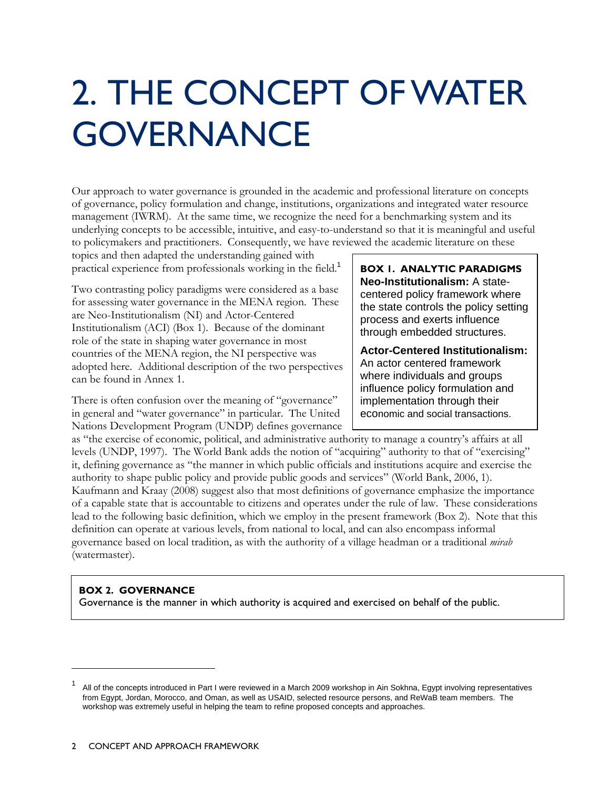# 2. THE CONCEPT OF WATER **GOVERNANCE**

Our approach to water governance is grounded in the academic and professional literature on concepts of governance, policy formulation and change, institutions, organizations and integrated water resource management (IWRM). At the same time, we recognize the need for a benchmarking system and its underlying concepts to be accessible, intuitive, and easy-to-understand so that it is meaningful and useful to policymakers and practitioners. Consequently, we have reviewed the academic literature on these

topics and then adapted the understanding gained with practical experience from professionals working in the field.<sup>1</sup>

Two contrasting policy paradigms were considered as a base for assessing water governance in the MENA region. These are Neo-Institutionalism (NI) and Actor-Centered Institutionalism (ACI) (Box 1). Because of the dominant role of the state in shaping water governance in most countries of the MENA region, the NI perspective was adopted here. Additional description of the two perspectives can be found in Annex 1.

There is often confusion over the meaning of "governance" in general and "water governance" in particular. The United Nations Development Program (UNDP) defines governance **BOX 1. ANALYTIC PARADIGMS Neo-Institutionalism:** A statecentered policy framework where the state controls the policy setting process and exerts influence through embedded structures.

**Actor-Centered Institutionalism:** An actor centered framework where individuals and groups influence policy formulation and implementation through their economic and social transactions.

as "the exercise of economic, political, and administrative authority to manage a country's affairs at all levels (UNDP, 1997). The World Bank adds the notion of "acquiring" authority to that of "exercising" it, defining governance as "the manner in which public officials and institutions acquire and exercise the authority to shape public policy and provide public goods and services" (World Bank, 2006, 1). Kaufmann and Kraay (2008) suggest also that most definitions of governance emphasize the importance of a capable state that is accountable to citizens and operates under the rule of law. These considerations lead to the following basic definition, which we employ in the present framework (Box 2). Note that this definition can operate at various levels, from national to local, and can also encompass informal governance based on local tradition, as with the authority of a village headman or a traditional *mirab* (watermaster).

#### **BOX 2. GOVERNANCE**

 $\overline{a}$ 

Governance is the manner in which authority is acquired and exercised on behalf of the public.

<sup>1</sup> All of the concepts introduced in Part I were reviewed in a March 2009 workshop in Ain Sokhna, Egypt involving representatives from Egypt, Jordan, Morocco, and Oman, as well as USAID, selected resource persons, and ReWaB team members. The workshop was extremely useful in helping the team to refine proposed concepts and approaches.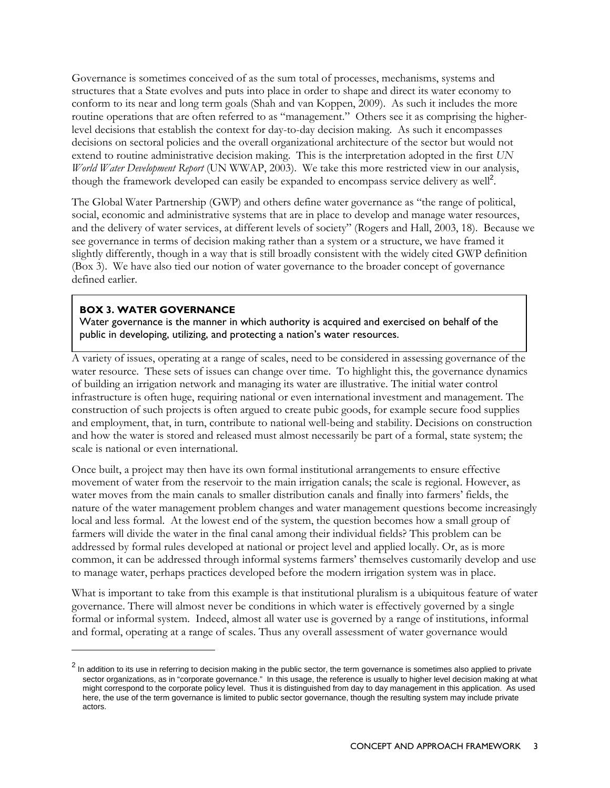Governance is sometimes conceived of as the sum total of processes, mechanisms, systems and structures that a State evolves and puts into place in order to shape and direct its water economy to conform to its near and long term goals (Shah and van Koppen, 2009). As such it includes the more routine operations that are often referred to as "management." Others see it as comprising the higherlevel decisions that establish the context for day-to-day decision making. As such it encompasses decisions on sectoral policies and the overall organizational architecture of the sector but would not extend to routine administrative decision making. This is the interpretation adopted in the first *UN World Water Development Report* (UN WWAP, 2003). We take this more restricted view in our analysis, though the framework developed can easily be expanded to encompass service delivery as well<sup>2</sup>.

The Global Water Partnership (GWP) and others define water governance as "the range of political, social, economic and administrative systems that are in place to develop and manage water resources, and the delivery of water services, at different levels of society" (Rogers and Hall, 2003, 18). Because we see governance in terms of decision making rather than a system or a structure, we have framed it slightly differently, though in a way that is still broadly consistent with the widely cited GWP definition (Box 3). We have also tied our notion of water governance to the broader concept of governance defined earlier.

#### **BOX 3. WATER GOVERNANCE**

 $\overline{a}$ 

Water governance is the manner in which authority is acquired and exercised on behalf of the public in developing, utilizing, and protecting a nation's water resources.

A variety of issues, operating at a range of scales, need to be considered in assessing governance of the water resource. These sets of issues can change over time. To highlight this, the governance dynamics of building an irrigation network and managing its water are illustrative. The initial water control infrastructure is often huge, requiring national or even international investment and management. The construction of such projects is often argued to create pubic goods, for example secure food supplies and employment, that, in turn, contribute to national well-being and stability. Decisions on construction and how the water is stored and released must almost necessarily be part of a formal, state system; the scale is national or even international.

Once built, a project may then have its own formal institutional arrangements to ensure effective movement of water from the reservoir to the main irrigation canals; the scale is regional. However, as water moves from the main canals to smaller distribution canals and finally into farmers' fields, the nature of the water management problem changes and water management questions become increasingly local and less formal. At the lowest end of the system, the question becomes how a small group of farmers will divide the water in the final canal among their individual fields? This problem can be addressed by formal rules developed at national or project level and applied locally. Or, as is more common, it can be addressed through informal systems farmers' themselves customarily develop and use to manage water, perhaps practices developed before the modern irrigation system was in place.

What is important to take from this example is that institutional pluralism is a ubiquitous feature of water governance. There will almost never be conditions in which water is effectively governed by a single formal or informal system. Indeed, almost all water use is governed by a range of institutions, informal and formal, operating at a range of scales. Thus any overall assessment of water governance would

 $^2$  In addition to its use in referring to decision making in the public sector, the term governance is sometimes also applied to private sector organizations, as in "corporate governance." In this usage, the reference is usually to higher level decision making at what might correspond to the corporate policy level. Thus it is distinguished from day to day management in this application. As used here, the use of the term governance is limited to public sector governance, though the resulting system may include private actors.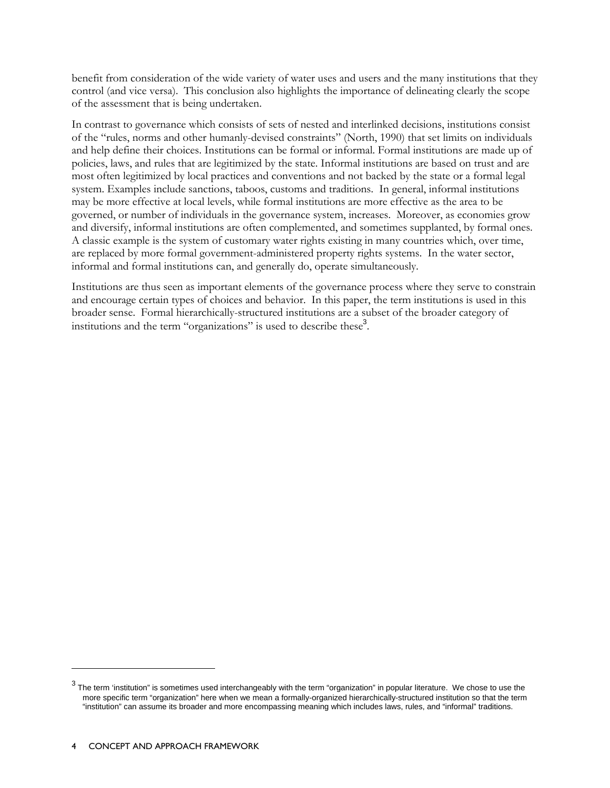benefit from consideration of the wide variety of water uses and users and the many institutions that they control (and vice versa). This conclusion also highlights the importance of delineating clearly the scope of the assessment that is being undertaken.

In contrast to governance which consists of sets of nested and interlinked decisions, institutions consist of the "rules, norms and other humanly-devised constraints" (North, 1990) that set limits on individuals and help define their choices. Institutions can be formal or informal. Formal institutions are made up of policies, laws, and rules that are legitimized by the state. Informal institutions are based on trust and are most often legitimized by local practices and conventions and not backed by the state or a formal legal system. Examples include sanctions, taboos, customs and traditions. In general, informal institutions may be more effective at local levels, while formal institutions are more effective as the area to be governed, or number of individuals in the governance system, increases. Moreover, as economies grow and diversify, informal institutions are often complemented, and sometimes supplanted, by formal ones. A classic example is the system of customary water rights existing in many countries which, over time, are replaced by more formal government-administered property rights systems. In the water sector, informal and formal institutions can, and generally do, operate simultaneously.

Institutions are thus seen as important elements of the governance process where they serve to constrain and encourage certain types of choices and behavior. In this paper, the term institutions is used in this broader sense. Formal hierarchically-structured institutions are a subset of the broader category of institutions and the term "organizations" is used to describe these<sup>3</sup>.

-

 $^3$  The term 'institution" is sometimes used interchangeably with the term "organization" in popular literature. We chose to use the more specific term "organization" here when we mean a formally-organized hierarchically-structured institution so that the term "institution" can assume its broader and more encompassing meaning which includes laws, rules, and "informal" traditions.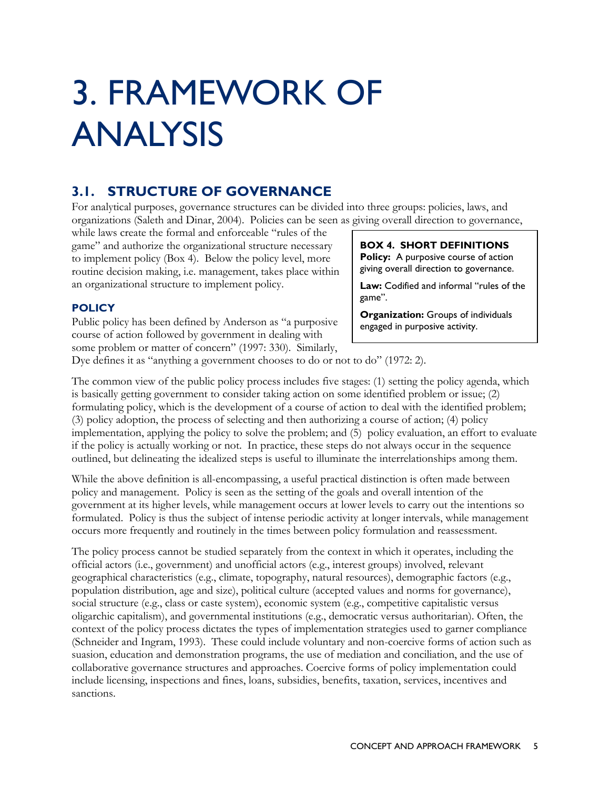# 3. FRAMEWORK OF ANALYSIS

### **3.1. STRUCTURE OF GOVERNANCE**

For analytical purposes, governance structures can be divided into three groups: policies, laws, and organizations (Saleth and Dinar, 2004). Policies can be seen as giving overall direction to governance,

while laws create the formal and enforceable "rules of the game" and authorize the organizational structure necessary to implement policy (Box 4). Below the policy level, more routine decision making, i.e. management, takes place within an organizational structure to implement policy.

**BOX 4. SHORT DEFINITIONS Policy:** A purposive course of action giving overall direction to governance.

**Law:** Codified and informal "rules of the game".

**Organization:** Groups of individuals engaged in purposive activity.

#### **POLICY**

Public policy has been defined by Anderson as "a purposive course of action followed by government in dealing with some problem or matter of concern" (1997: 330). Similarly,

Dye defines it as "anything a government chooses to do or not to do" (1972: 2).

The common view of the public policy process includes five stages: (1) setting the policy agenda, which is basically getting government to consider taking action on some identified problem or issue; (2) formulating policy, which is the development of a course of action to deal with the identified problem; (3) policy adoption, the process of selecting and then authorizing a course of action; (4) policy implementation, applying the policy to solve the problem; and (5) policy evaluation, an effort to evaluate if the policy is actually working or not. In practice, these steps do not always occur in the sequence outlined, but delineating the idealized steps is useful to illuminate the interrelationships among them.

While the above definition is all-encompassing, a useful practical distinction is often made between policy and management. Policy is seen as the setting of the goals and overall intention of the government at its higher levels, while management occurs at lower levels to carry out the intentions so formulated. Policy is thus the subject of intense periodic activity at longer intervals, while management occurs more frequently and routinely in the times between policy formulation and reassessment.

The policy process cannot be studied separately from the context in which it operates, including the official actors (i.e., government) and unofficial actors (e.g., interest groups) involved, relevant geographical characteristics (e.g., climate, topography, natural resources), demographic factors (e.g., population distribution, age and size), political culture (accepted values and norms for governance), social structure (e.g., class or caste system), economic system (e.g., competitive capitalistic versus oligarchic capitalism), and governmental institutions (e.g., democratic versus authoritarian). Often, the context of the policy process dictates the types of implementation strategies used to garner compliance (Schneider and Ingram, 1993). These could include voluntary and non-coercive forms of action such as suasion, education and demonstration programs, the use of mediation and conciliation, and the use of collaborative governance structures and approaches. Coercive forms of policy implementation could include licensing, inspections and fines, loans, subsidies, benefits, taxation, services, incentives and sanctions.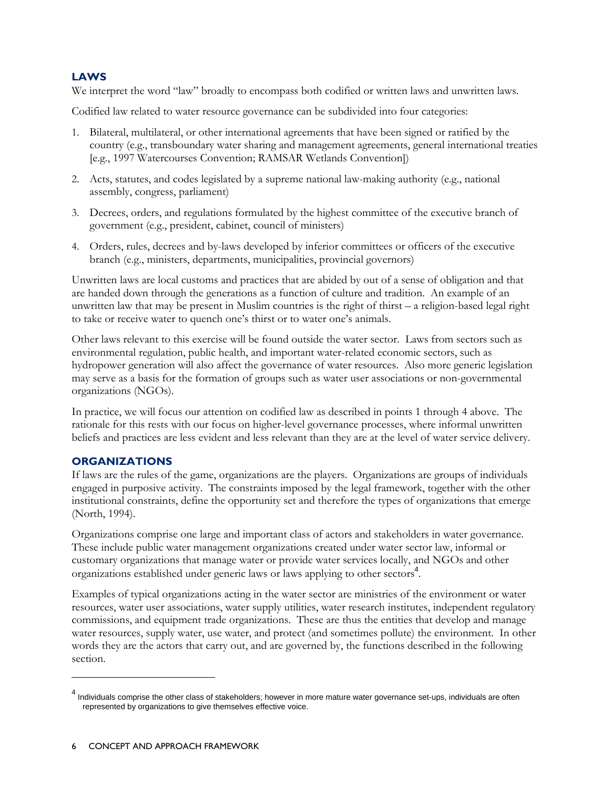#### **LAWS**

We interpret the word "law" broadly to encompass both codified or written laws and unwritten laws.

Codified law related to water resource governance can be subdivided into four categories:

- 1. Bilateral, multilateral, or other international agreements that have been signed or ratified by the country (e.g., transboundary water sharing and management agreements, general international treaties [e.g., 1997 Watercourses Convention; RAMSAR Wetlands Convention])
- 2. Acts, statutes, and codes legislated by a supreme national law-making authority (e.g., national assembly, congress, parliament)
- 3. Decrees, orders, and regulations formulated by the highest committee of the executive branch of government (e.g., president, cabinet, council of ministers)
- 4. Orders, rules, decrees and by-laws developed by inferior committees or officers of the executive branch (e.g., ministers, departments, municipalities, provincial governors)

Unwritten laws are local customs and practices that are abided by out of a sense of obligation and that are handed down through the generations as a function of culture and tradition. An example of an unwritten law that may be present in Muslim countries is the right of thirst – a religion-based legal right to take or receive water to quench one's thirst or to water one's animals.

Other laws relevant to this exercise will be found outside the water sector. Laws from sectors such as environmental regulation, public health, and important water-related economic sectors, such as hydropower generation will also affect the governance of water resources. Also more generic legislation may serve as a basis for the formation of groups such as water user associations or non-governmental organizations (NGOs).

In practice, we will focus our attention on codified law as described in points 1 through 4 above. The rationale for this rests with our focus on higher-level governance processes, where informal unwritten beliefs and practices are less evident and less relevant than they are at the level of water service delivery.

#### **ORGANIZATIONS**

-

If laws are the rules of the game, organizations are the players. Organizations are groups of individuals engaged in purposive activity. The constraints imposed by the legal framework, together with the other institutional constraints, define the opportunity set and therefore the types of organizations that emerge (North, 1994).

Organizations comprise one large and important class of actors and stakeholders in water governance. These include public water management organizations created under water sector law, informal or customary organizations that manage water or provide water services locally, and NGOs and other organizations established under generic laws or laws applying to other sectors<sup>4</sup>.

Examples of typical organizations acting in the water sector are ministries of the environment or water resources, water user associations, water supply utilities, water research institutes, independent regulatory commissions, and equipment trade organizations. These are thus the entities that develop and manage water resources, supply water, use water, and protect (and sometimes pollute) the environment. In other words they are the actors that carry out, and are governed by, the functions described in the following section.

<sup>&</sup>lt;sup>4</sup> Individuals comprise the other class of stakeholders; however in more mature water governance set-ups, individuals are often represented by organizations to give themselves effective voice.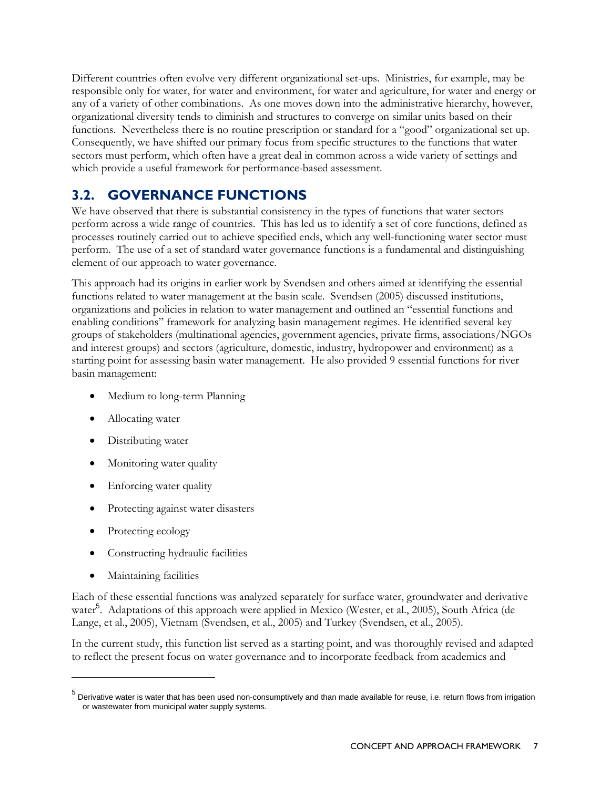Different countries often evolve very different organizational set-ups. Ministries, for example, may be responsible only for water, for water and environment, for water and agriculture, for water and energy or any of a variety of other combinations. As one moves down into the administrative hierarchy, however, organizational diversity tends to diminish and structures to converge on similar units based on their functions. Nevertheless there is no routine prescription or standard for a "good" organizational set up. Consequently, we have shifted our primary focus from specific structures to the functions that water sectors must perform, which often have a great deal in common across a wide variety of settings and which provide a useful framework for performance-based assessment.

### **3.2. GOVERNANCE FUNCTIONS**

We have observed that there is substantial consistency in the types of functions that water sectors perform across a wide range of countries. This has led us to identify a set of core functions, defined as processes routinely carried out to achieve specified ends, which any well-functioning water sector must perform. The use of a set of standard water governance functions is a fundamental and distinguishing element of our approach to water governance.

This approach had its origins in earlier work by Svendsen and others aimed at identifying the essential functions related to water management at the basin scale. Svendsen (2005) discussed institutions, organizations and policies in relation to water management and outlined an "essential functions and enabling conditions" framework for analyzing basin management regimes. He identified several key groups of stakeholders (multinational agencies, government agencies, private firms, associations/NGOs and interest groups) and sectors (agriculture, domestic, industry, hydropower and environment) as a starting point for assessing basin water management. He also provided 9 essential functions for river basin management:

- Medium to long-term Planning
- Allocating water
- Distributing water
- Monitoring water quality
- Enforcing water quality
- Protecting against water disasters
- Protecting ecology
- Constructing hydraulic facilities
- Maintaining facilities

 $\overline{a}$ 

Each of these essential functions was analyzed separately for surface water, groundwater and derivative water<sup>5</sup>. Adaptations of this approach were applied in Mexico (Wester, et al., 2005), South Africa (de Lange, et al., 2005), Vietnam (Svendsen, et al., 2005) and Turkey (Svendsen, et al., 2005).

In the current study, this function list served as a starting point, and was thoroughly revised and adapted to reflect the present focus on water governance and to incorporate feedback from academics and

<sup>&</sup>lt;sup>5</sup> Derivative water is water that has been used non-consumptively and than made available for reuse, i.e. return flows from irrigation or wastewater from municipal water supply systems.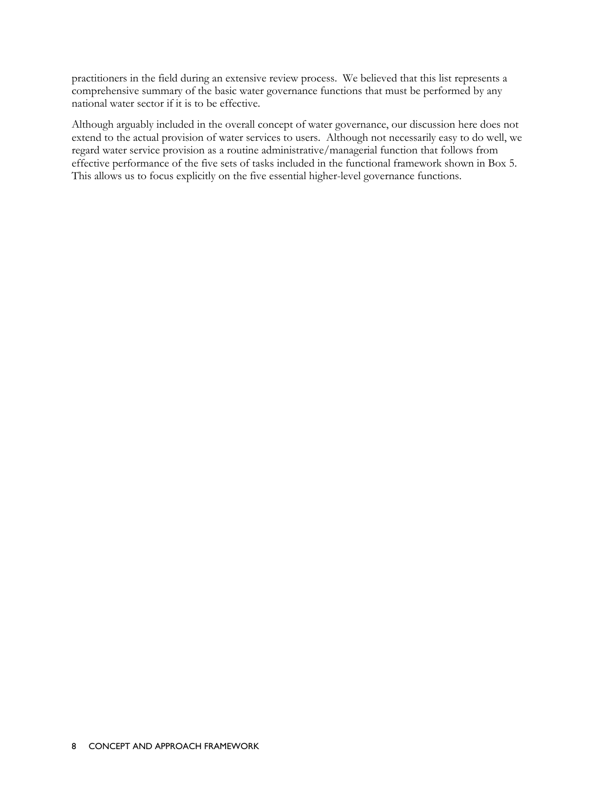practitioners in the field during an extensive review process. We believed that this list represents a comprehensive summary of the basic water governance functions that must be performed by any national water sector if it is to be effective.

Although arguably included in the overall concept of water governance, our discussion here does not extend to the actual provision of water services to users. Although not necessarily easy to do well, we regard water service provision as a routine administrative/managerial function that follows from effective performance of the five sets of tasks included in the functional framework shown in Box 5. This allows us to focus explicitly on the five essential higher-level governance functions.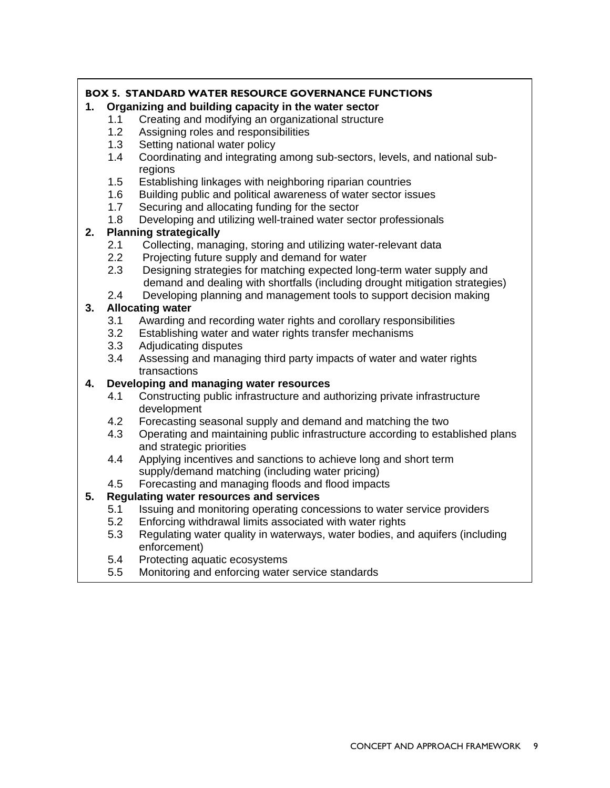#### **BOX 5. STANDARD WATER RESOURCE GOVERNANCE FUNCTIONS**

#### **1. Organizing and building capacity in the water sector**

- 1.1 Creating and modifying an organizational structure
- 1.2 Assigning roles and responsibilities
- 1.3 Setting national water policy
- 1.4 Coordinating and integrating among sub-sectors, levels, and national subregions
- 1.5 Establishing linkages with neighboring riparian countries
- 1.6 Building public and political awareness of water sector issues
- 1.7 Securing and allocating funding for the sector
- 1.8 Developing and utilizing well-trained water sector professionals

#### **2. Planning strategically**

- 2.1 Collecting, managing, storing and utilizing water-relevant data
- 2.2 Projecting future supply and demand for water
- 2.3 Designing strategies for matching expected long-term water supply and demand and dealing with shortfalls (including drought mitigation strategies)
- 2.4 Developing planning and management tools to support decision making

#### **3. Allocating water**

- 3.1 Awarding and recording water rights and corollary responsibilities
- 3.2 Establishing water and water rights transfer mechanisms
- 3.3 Adjudicating disputes
- 3.4 Assessing and managing third party impacts of water and water rights transactions

#### **4. Developing and managing water resources**

- 4.1 Constructing public infrastructure and authorizing private infrastructure development
- 4.2 Forecasting seasonal supply and demand and matching the two
- 4.3 Operating and maintaining public infrastructure according to established plans and strategic priorities
- 4.4 Applying incentives and sanctions to achieve long and short term supply/demand matching (including water pricing)
- 4.5 Forecasting and managing floods and flood impacts

#### **5. Regulating water resources and services**

- 5.1 Issuing and monitoring operating concessions to water service providers
- 5.2 Enforcing withdrawal limits associated with water rights
- 5.3 Regulating water quality in waterways, water bodies, and aquifers (including enforcement)
- 5.4 Protecting aquatic ecosystems
- 5.5 Monitoring and enforcing water service standards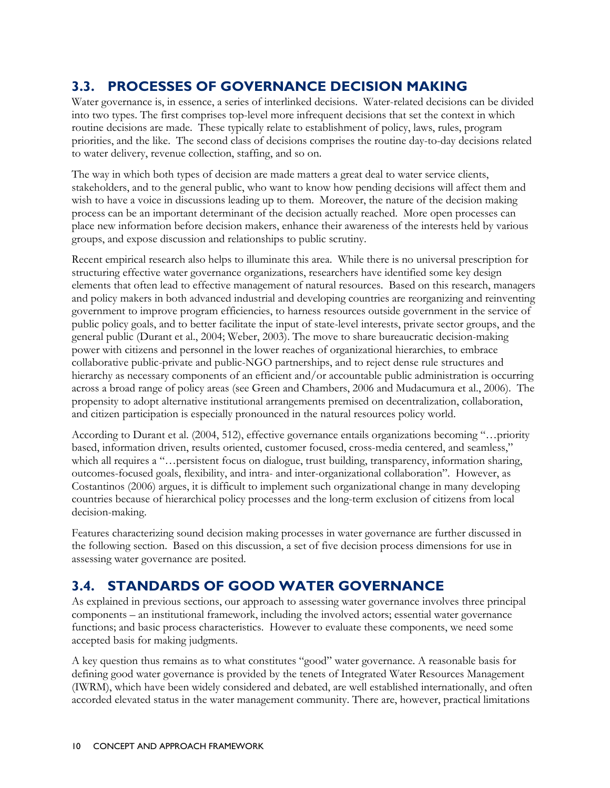### **3.3. PROCESSES OF GOVERNANCE DECISION MAKING**

Water governance is, in essence, a series of interlinked decisions. Water-related decisions can be divided into two types. The first comprises top-level more infrequent decisions that set the context in which routine decisions are made. These typically relate to establishment of policy, laws, rules, program priorities, and the like. The second class of decisions comprises the routine day-to-day decisions related to water delivery, revenue collection, staffing, and so on.

The way in which both types of decision are made matters a great deal to water service clients, stakeholders, and to the general public, who want to know how pending decisions will affect them and wish to have a voice in discussions leading up to them. Moreover, the nature of the decision making process can be an important determinant of the decision actually reached. More open processes can place new information before decision makers, enhance their awareness of the interests held by various groups, and expose discussion and relationships to public scrutiny.

Recent empirical research also helps to illuminate this area. While there is no universal prescription for structuring effective water governance organizations, researchers have identified some key design elements that often lead to effective management of natural resources. Based on this research, managers and policy makers in both advanced industrial and developing countries are reorganizing and reinventing government to improve program efficiencies, to harness resources outside government in the service of public policy goals, and to better facilitate the input of state-level interests, private sector groups, and the general public (Durant et al., 2004; Weber, 2003). The move to share bureaucratic decision-making power with citizens and personnel in the lower reaches of organizational hierarchies, to embrace collaborative public-private and public-NGO partnerships, and to reject dense rule structures and hierarchy as necessary components of an efficient and/or accountable public administration is occurring across a broad range of policy areas (see Green and Chambers, 2006 and Mudacumura et al., 2006). The propensity to adopt alternative institutional arrangements premised on decentralization, collaboration, and citizen participation is especially pronounced in the natural resources policy world.

According to Durant et al. (2004, 512), effective governance entails organizations becoming "…priority based, information driven, results oriented, customer focused, cross-media centered, and seamless," which all requires a "…persistent focus on dialogue, trust building, transparency, information sharing, outcomes-focused goals, flexibility, and intra- and inter-organizational collaboration". However, as Costantinos (2006) argues, it is difficult to implement such organizational change in many developing countries because of hierarchical policy processes and the long-term exclusion of citizens from local decision-making.

Features characterizing sound decision making processes in water governance are further discussed in the following section. Based on this discussion, a set of five decision process dimensions for use in assessing water governance are posited.

### **3.4. STANDARDS OF GOOD WATER GOVERNANCE**

As explained in previous sections, our approach to assessing water governance involves three principal components – an institutional framework, including the involved actors; essential water governance functions; and basic process characteristics. However to evaluate these components, we need some accepted basis for making judgments.

A key question thus remains as to what constitutes "good" water governance. A reasonable basis for defining good water governance is provided by the tenets of Integrated Water Resources Management (IWRM), which have been widely considered and debated, are well established internationally, and often accorded elevated status in the water management community. There are, however, practical limitations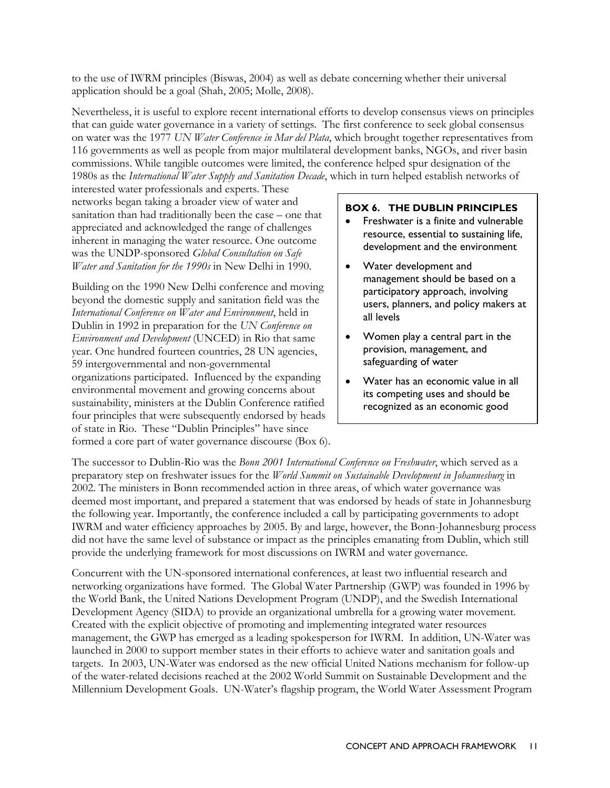to the use of IWRM principles (Biswas, 2004) as well as debate concerning whether their universal application should be a goal (Shah, 2005; Molle, 2008).

Nevertheless, it is useful to explore recent international efforts to develop consensus views on principles that can guide water governance in a variety of settings. The first conference to seek global consensus on water was the 1977 *UN Water Conference in Mar del Plata*, which brought together representatives from 116 governments as well as people from major multilateral development banks, NGOs, and river basin commissions. While tangible outcomes were limited, the conference helped spur designation of the 1980s as the *International Water Supply and Sanitation Decade*, which in turn helped establish networks of

interested water professionals and experts. These networks began taking a broader view of water and sanitation than had traditionally been the case – one that appreciated and acknowledged the range of challenges inherent in managing the water resource. One outcome was the UNDP-sponsored *Global Consultation on Safe Water and Sanitation for the 1990s* in New Delhi in 1990.

Building on the 1990 New Delhi conference and moving beyond the domestic supply and sanitation field was the *International Conference on Water and Environment*, held in Dublin in 1992 in preparation for the *UN Conference on Environment and Development* (UNCED) in Rio that same year. One hundred fourteen countries, 28 UN agencies, 59 intergovernmental and non-governmental organizations participated. Influenced by the expanding environmental movement and growing concerns about sustainability, ministers at the Dublin Conference ratified four principles that were subsequently endorsed by heads of state in Rio. These "Dublin Principles" have since formed a core part of water governance discourse (Box 6).

#### **BOX 6. THE DUBLIN PRINCIPLES**

- Freshwater is a finite and vulnerable resource, essential to sustaining life, development and the environment
- Water development and management should be based on a participatory approach, involving users, planners, and policy makers at all levels
- Women play a central part in the provision, management, and safeguarding of water
- Water has an economic value in all its competing uses and should be recognized as an economic good

The successor to Dublin-Rio was the *Bonn 2001 International Conference on Freshwater*, which served as a preparatory step on freshwater issues for the *World Summit on Sustainable Development in Johannesburg* in 2002. The ministers in Bonn recommended action in three areas, of which water governance was deemed most important, and prepared a statement that was endorsed by heads of state in Johannesburg the following year. Importantly, the conference included a call by participating governments to adopt IWRM and water efficiency approaches by 2005. By and large, however, the Bonn-Johannesburg process did not have the same level of substance or impact as the principles emanating from Dublin, which still provide the underlying framework for most discussions on IWRM and water governance.

Concurrent with the UN-sponsored international conferences, at least two influential research and networking organizations have formed. The Global Water Partnership (GWP) was founded in 1996 by the World Bank, the United Nations Development Program (UNDP), and the Swedish International Development Agency (SIDA) to provide an organizational umbrella for a growing water movement. Created with the explicit objective of promoting and implementing integrated water resources management, the GWP has emerged as a leading spokesperson for IWRM. In addition, UN-Water was launched in 2000 to support member states in their efforts to achieve water and sanitation goals and targets. In 2003, UN-Water was endorsed as the new official United Nations mechanism for follow-up of the water-related decisions reached at the 2002 World Summit on Sustainable Development and the Millennium Development Goals. UN-Water's flagship program, the World Water Assessment Program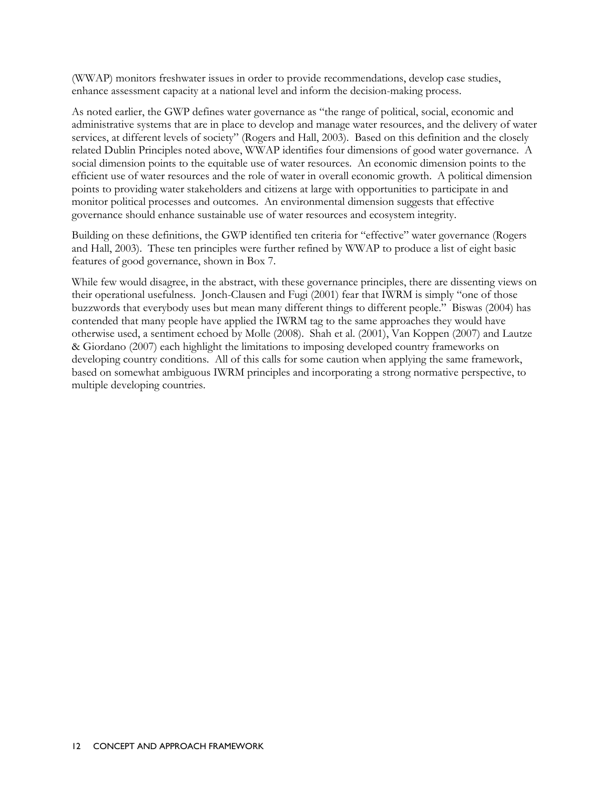(WWAP) monitors freshwater issues in order to provide recommendations, develop case studies, enhance assessment capacity at a national level and inform the decision-making process.

As noted earlier, the GWP defines water governance as "the range of political, social, economic and administrative systems that are in place to develop and manage water resources, and the delivery of water services, at different levels of society" (Rogers and Hall, 2003). Based on this definition and the closely related Dublin Principles noted above, WWAP identifies four dimensions of good water governance. A social dimension points to the equitable use of water resources. An economic dimension points to the efficient use of water resources and the role of water in overall economic growth. A political dimension points to providing water stakeholders and citizens at large with opportunities to participate in and monitor political processes and outcomes. An environmental dimension suggests that effective governance should enhance sustainable use of water resources and ecosystem integrity.

Building on these definitions, the GWP identified ten criteria for "effective" water governance (Rogers and Hall, 2003). These ten principles were further refined by WWAP to produce a list of eight basic features of good governance, shown in Box 7.

While few would disagree, in the abstract, with these governance principles, there are dissenting views on their operational usefulness. Jonch-Clausen and Fugi (2001) fear that IWRM is simply "one of those buzzwords that everybody uses but mean many different things to different people." Biswas (2004) has contended that many people have applied the IWRM tag to the same approaches they would have otherwise used, a sentiment echoed by Molle (2008). Shah et al. (2001), Van Koppen (2007) and Lautze & Giordano (2007) each highlight the limitations to imposing developed country frameworks on developing country conditions. All of this calls for some caution when applying the same framework, based on somewhat ambiguous IWRM principles and incorporating a strong normative perspective, to multiple developing countries.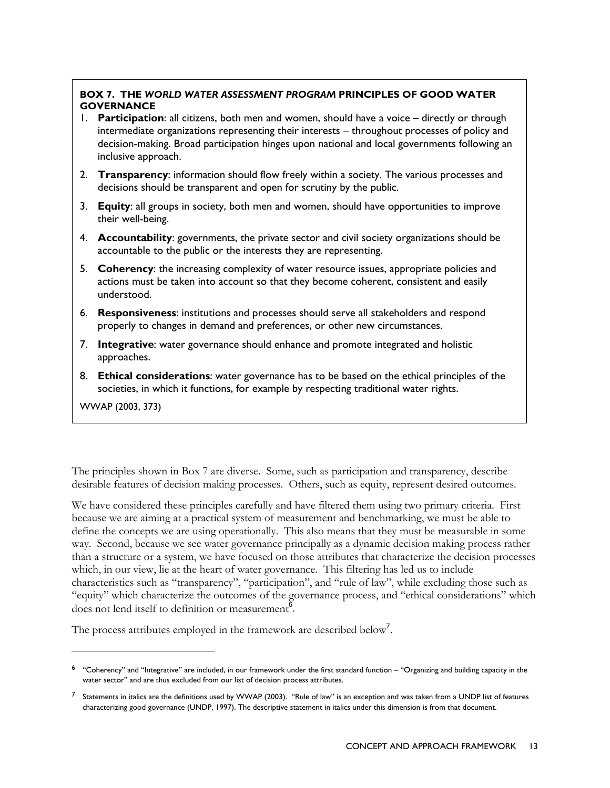#### **BOX 7. THE** *WORLD WATER ASSESSMENT PROGRAM* **PRINCIPLES OF GOOD WATER GOVERNANCE**

- 1. **Participation**: all citizens, both men and women, should have a voice directly or through intermediate organizations representing their interests – throughout processes of policy and decision-making. Broad participation hinges upon national and local governments following an inclusive approach.
- 2. **Transparency**: information should flow freely within a society. The various processes and decisions should be transparent and open for scrutiny by the public.
- 3. **Equity**: all groups in society, both men and women, should have opportunities to improve their well-being.
- 4. **Accountability**: governments, the private sector and civil society organizations should be accountable to the public or the interests they are representing.
- 5. **Coherency**: the increasing complexity of water resource issues, appropriate policies and actions must be taken into account so that they become coherent, consistent and easily understood.
- 6. **Responsiveness**: institutions and processes should serve all stakeholders and respond properly to changes in demand and preferences, or other new circumstances.
- 7. **Integrative**: water governance should enhance and promote integrated and holistic approaches.
- 8. **Ethical considerations**: water governance has to be based on the ethical principles of the societies, in which it functions, for example by respecting traditional water rights.

WWAP (2003, 373)

-

The principles shown in Box 7 are diverse. Some, such as participation and transparency, describe desirable features of decision making processes. Others, such as equity, represent desired outcomes.

We have considered these principles carefully and have filtered them using two primary criteria. First because we are aiming at a practical system of measurement and benchmarking, we must be able to define the concepts we are using operationally. This also means that they must be measurable in some way. Second, because we see water governance principally as a dynamic decision making process rather than a structure or a system, we have focused on those attributes that characterize the decision processes which, in our view, lie at the heart of water governance. This filtering has led us to include characteristics such as "transparency", "participation", and "rule of law", while excluding those such as "equity" which characterize the outcomes of the governance process, and "ethical considerations" which does not lend itself to definition or measurement<sup> $\frac{6}{6}$ </sup>.

The process attributes employed in the framework are described below<sup>7</sup>.

 $6$  "Coherency" and "Integrative" are included, in our framework under the first standard function – "Organizing and building capacity in the water sector" and are thus excluded from our list of decision process attributes.

 $<sup>7</sup>$  Statements in italics are the definitions used by WWAP (2003). "Rule of law" is an exception and was taken from a UNDP list of features</sup> characterizing good governance (UNDP, 1997). The descriptive statement in italics under this dimension is from that document.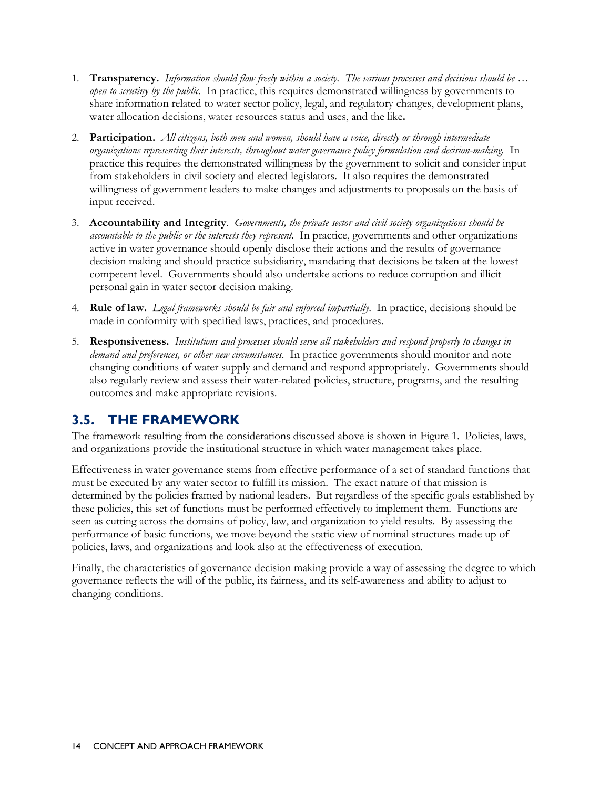- 1. **Transparency.** *Information should flow freely within a society. The various processes and decisions should be … open to scrutiny by the public.* In practice, this requires demonstrated willingness by governments to share information related to water sector policy, legal, and regulatory changes, development plans, water allocation decisions, water resources status and uses, and the like**.**
- 2. **Participation.** *All citizens, both men and women, should have a voice, directly or through intermediate organizations representing their interests, throughout water governance policy formulation and decision-making.* In practice this requires the demonstrated willingness by the government to solicit and consider input from stakeholders in civil society and elected legislators. It also requires the demonstrated willingness of government leaders to make changes and adjustments to proposals on the basis of input received.
- 3. **Accountability and Integrity**. *Governments, the private sector and civil society organizations should be accountable to the public or the interests they represent.* In practice, governments and other organizations active in water governance should openly disclose their actions and the results of governance decision making and should practice subsidiarity, mandating that decisions be taken at the lowest competent level. Governments should also undertake actions to reduce corruption and illicit personal gain in water sector decision making.
- 4. **Rule of law.** *Legal frameworks should be fair and enforced impartially*. In practice, decisions should be made in conformity with specified laws, practices, and procedures.
- 5. **Responsiveness.** *Institutions and processes should serve all stakeholders and respond properly to changes in demand and preferences, or other new circumstances.* In practice governments should monitor and note changing conditions of water supply and demand and respond appropriately. Governments should also regularly review and assess their water-related policies, structure, programs, and the resulting outcomes and make appropriate revisions.

### **3.5. THE FRAMEWORK**

The framework resulting from the considerations discussed above is shown in Figure 1. Policies, laws, and organizations provide the institutional structure in which water management takes place.

Effectiveness in water governance stems from effective performance of a set of standard functions that must be executed by any water sector to fulfill its mission. The exact nature of that mission is determined by the policies framed by national leaders. But regardless of the specific goals established by these policies, this set of functions must be performed effectively to implement them. Functions are seen as cutting across the domains of policy, law, and organization to yield results. By assessing the performance of basic functions, we move beyond the static view of nominal structures made up of policies, laws, and organizations and look also at the effectiveness of execution.

Finally, the characteristics of governance decision making provide a way of assessing the degree to which governance reflects the will of the public, its fairness, and its self-awareness and ability to adjust to changing conditions.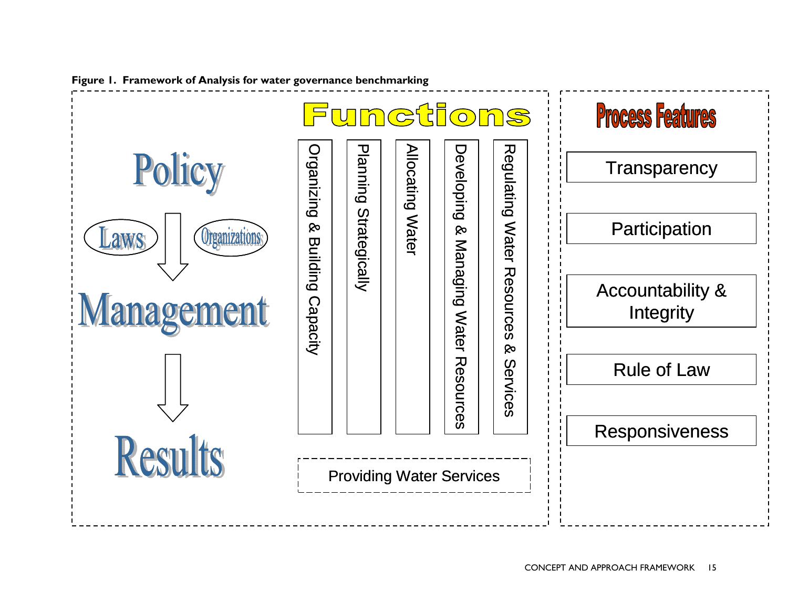

**Figure 1. Framework of Analysis for water governance benchmarking**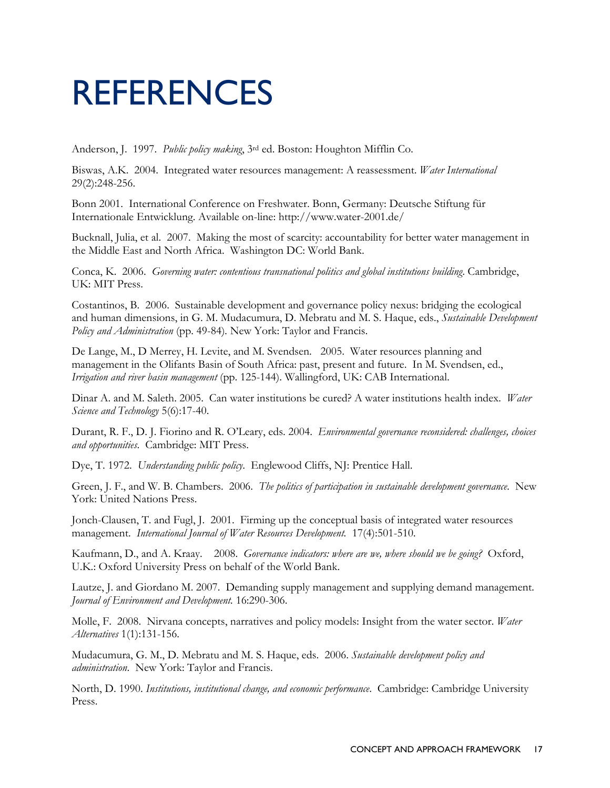## REFERENCES

Anderson, J. 1997. *Public policy making*, 3rd ed. Boston: Houghton Mifflin Co.

Biswas, A.K. 2004. Integrated water resources management: A reassessment. *Water International* 29(2):248-256.

Bonn 2001. International Conference on Freshwater. Bonn, Germany: Deutsche Stiftung für Internationale Entwicklung. Available on-line: http://www.water-2001.de/

Bucknall, Julia, et al. 2007. Making the most of scarcity: accountability for better water management in the Middle East and North Africa. Washington DC: World Bank.

Conca, K. 2006. *Governing water: contentious transnational politics and global institutions building*. Cambridge, UK: MIT Press.

Costantinos, B. 2006. Sustainable development and governance policy nexus: bridging the ecological and human dimensions, in G. M. Mudacumura, D. Mebratu and M. S. Haque, eds., *Sustainable Development Policy and Administration* (pp. 49-84)*.* New York: Taylor and Francis.

De Lange, M., D Merrey, H. Levite, and M. Svendsen. 2005. Water resources planning and management in the Olifants Basin of South Africa: past, present and future. In M. Svendsen, ed., *Irrigation and river basin management* (pp. 125-144). Wallingford, UK: CAB International.

Dinar A. and M. Saleth. 2005. Can water institutions be cured? A water institutions health index. *Water Science and Technology* 5(6):17-40.

Durant, R. F., D. J. Fiorino and R. O'Leary, eds. 2004. *Environmental governance reconsidered: challenges, choices and opportunities*. Cambridge: MIT Press.

Dye, T. 1972. *Understanding public policy*. Englewood Cliffs, NJ: Prentice Hall.

Green, J. F., and W. B. Chambers. 2006. *The politics of participation in sustainable development governance*. New York: United Nations Press.

Jonch-Clausen, T. and Fugl, J. 2001. Firming up the conceptual basis of integrated water resources management. *International Journal of Water Resources Development.* 17(4):501-510.

Kaufmann, D., and A. Kraay. 2008. *Governance indicators: where are we, where should we be going?* Oxford, U.K.: Oxford University Press on behalf of the World Bank.

Lautze, J. and Giordano M. 2007. Demanding supply management and supplying demand management. *Journal of Environment and Development.* 16:290-306.

Molle, F. 2008. Nirvana concepts, narratives and policy models: Insight from the water sector. *Water Alternatives* 1(1):131-156.

Mudacumura, G. M., D. Mebratu and M. S. Haque, eds. 2006. *Sustainable development policy and administration*. New York: Taylor and Francis.

North, D. 1990. *Institutions, institutional change, and economic performance*. Cambridge: Cambridge University Press.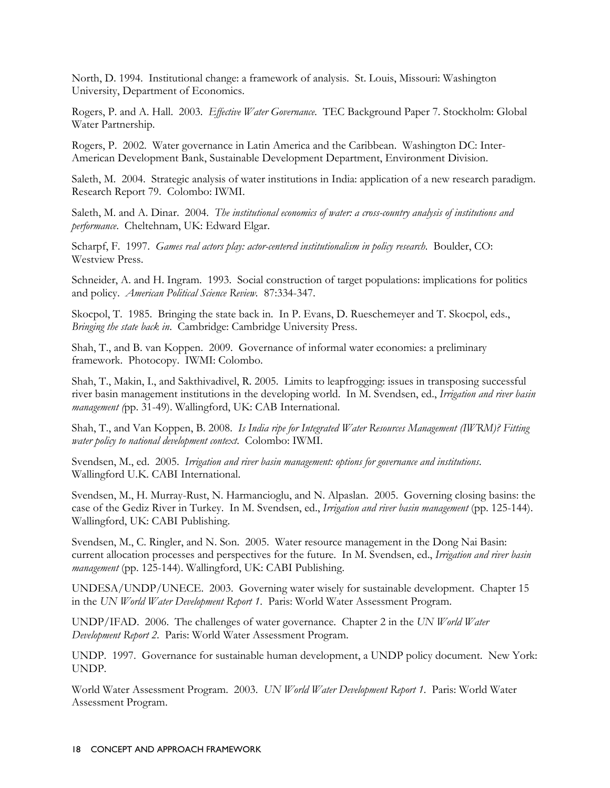North, D. 1994. Institutional change: a framework of analysis. St. Louis, Missouri: Washington University, Department of Economics.

Rogers, P. and A. Hall. 2003. *Effective Water Governance*. TEC Background Paper 7. Stockholm: Global Water Partnership.

Rogers, P. 2002. Water governance in Latin America and the Caribbean. Washington DC: Inter-American Development Bank, Sustainable Development Department, Environment Division.

Saleth, M. 2004. Strategic analysis of water institutions in India: application of a new research paradigm. Research Report 79. Colombo: IWMI.

Saleth, M. and A. Dinar. 2004. *The institutional economics of water: a cross-country analysis of institutions and performance*. Cheltehnam, UK: Edward Elgar.

Scharpf, F. 1997. *Games real actors play: actor-centered institutionalism in policy research*. Boulder, CO: Westview Press.

Schneider, A. and H. Ingram. 1993. Social construction of target populations: implications for politics and policy. *American Political Science Review.* 87:334-347.

Skocpol, T. 1985. Bringing the state back in. In P. Evans, D. Rueschemeyer and T. Skocpol, eds., *Bringing the state back in*. Cambridge: Cambridge University Press.

Shah, T., and B. van Koppen. 2009. Governance of informal water economies: a preliminary framework. Photocopy. IWMI: Colombo.

Shah, T., Makin, I., and Sakthivadivel, R. 2005. Limits to leapfrogging: issues in transposing successful river basin management institutions in the developing world. In M. Svendsen, ed., *Irrigation and river basin management (*pp. 31-49). Wallingford, UK: CAB International.

Shah, T., and Van Koppen, B. 2008. *Is India ripe for Integrated Water Resources Management (IWRM)? Fitting water policy to national development context*. Colombo: IWMI.

Svendsen, M., ed. 2005. *Irrigation and river basin management: options for governance and institutions*. Wallingford U.K. CABI International.

Svendsen, M., H. Murray-Rust, N. Harmancioglu, and N. Alpaslan. 2005. Governing closing basins: the case of the Gediz River in Turkey. In M. Svendsen, ed., *Irrigation and river basin management* (pp. 125-144). Wallingford, UK: CABI Publishing.

Svendsen, M., C. Ringler, and N. Son. 2005. Water resource management in the Dong Nai Basin: current allocation processes and perspectives for the future. In M. Svendsen, ed., *Irrigation and river basin management* (pp. 125-144). Wallingford, UK: CABI Publishing.

UNDESA/UNDP/UNECE. 2003. Governing water wisely for sustainable development. Chapter 15 in the *UN World Water Development Report 1*. Paris: World Water Assessment Program.

UNDP/IFAD. 2006. The challenges of water governance. Chapter 2 in the *UN World Water Development Report 2*. Paris: World Water Assessment Program.

UNDP. 1997. Governance for sustainable human development, a UNDP policy document. New York: UNDP.

World Water Assessment Program. 2003. *UN World Water Development Report 1*. Paris: World Water Assessment Program.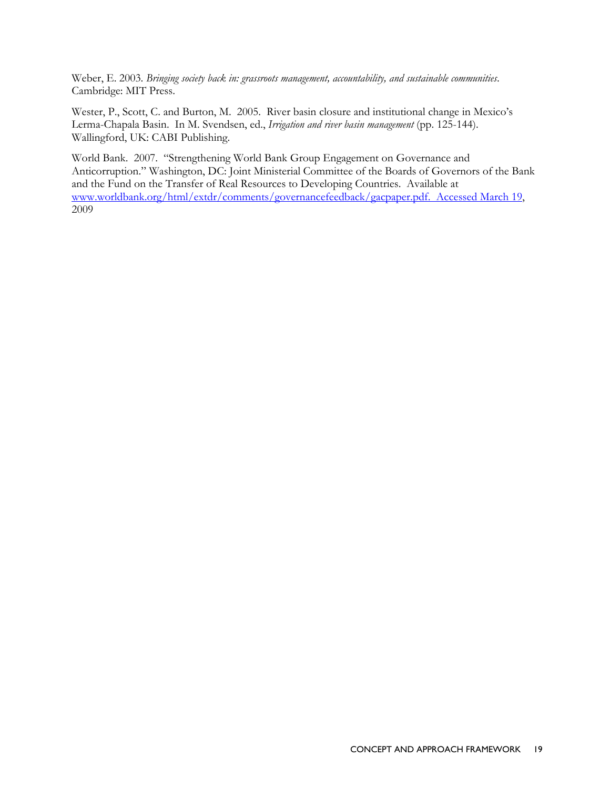Weber, E. 2003. *Bringing society back in: grassroots management, accountability, and sustainable communities*. Cambridge: MIT Press.

Wester, P., Scott, C. and Burton, M. 2005. River basin closure and institutional change in Mexico's Lerma-Chapala Basin. In M. Svendsen, ed., *Irrigation and river basin management* (pp. 125-144). Wallingford, UK: CABI Publishing.

World Bank. 2007. "Strengthening World Bank Group Engagement on Governance and Anticorruption." Washington, DC: Joint Ministerial Committee of the Boards of Governors of the Bank and the Fund on the Transfer of Real Resources to Developing Countries. Available at www.worldbank.org/html/extdr/comments/governancefeedback/gacpaper.pdf. Accessed March 19, 2009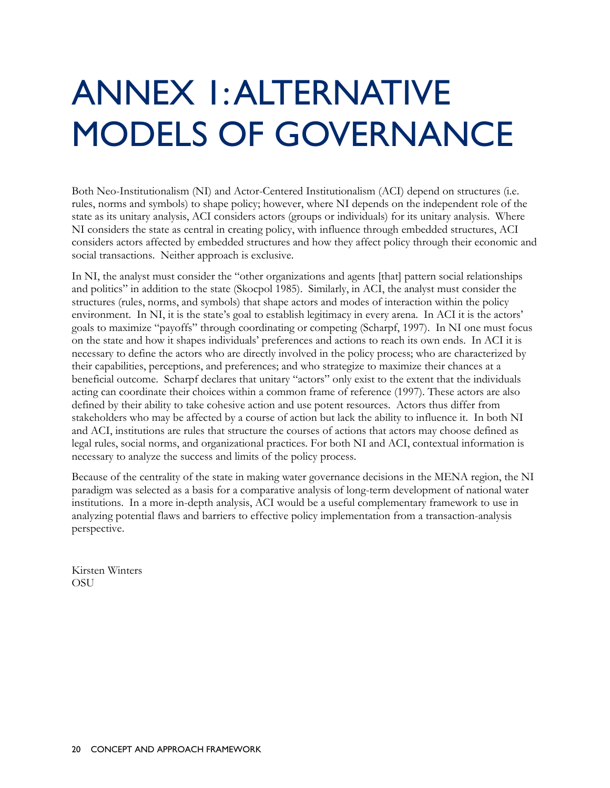# ANNEX 1: ALTERNATIVE MODELS OF GOVERNANCE

Both Neo-Institutionalism (NI) and Actor-Centered Institutionalism (ACI) depend on structures (i.e. rules, norms and symbols) to shape policy; however, where NI depends on the independent role of the state as its unitary analysis, ACI considers actors (groups or individuals) for its unitary analysis. Where NI considers the state as central in creating policy, with influence through embedded structures, ACI considers actors affected by embedded structures and how they affect policy through their economic and social transactions. Neither approach is exclusive.

In NI, the analyst must consider the "other organizations and agents [that] pattern social relationships and politics" in addition to the state (Skocpol 1985). Similarly, in ACI, the analyst must consider the structures (rules, norms, and symbols) that shape actors and modes of interaction within the policy environment. In NI, it is the state's goal to establish legitimacy in every arena. In ACI it is the actors' goals to maximize "payoffs" through coordinating or competing (Scharpf, 1997). In NI one must focus on the state and how it shapes individuals' preferences and actions to reach its own ends. In ACI it is necessary to define the actors who are directly involved in the policy process; who are characterized by their capabilities, perceptions, and preferences; and who strategize to maximize their chances at a beneficial outcome. Scharpf declares that unitary "actors" only exist to the extent that the individuals acting can coordinate their choices within a common frame of reference (1997). These actors are also defined by their ability to take cohesive action and use potent resources. Actors thus differ from stakeholders who may be affected by a course of action but lack the ability to influence it. In both NI and ACI, institutions are rules that structure the courses of actions that actors may choose defined as legal rules, social norms, and organizational practices. For both NI and ACI, contextual information is necessary to analyze the success and limits of the policy process.

Because of the centrality of the state in making water governance decisions in the MENA region, the NI paradigm was selected as a basis for a comparative analysis of long-term development of national water institutions. In a more in-depth analysis, ACI would be a useful complementary framework to use in analyzing potential flaws and barriers to effective policy implementation from a transaction-analysis perspective.

Kirsten Winters OSU